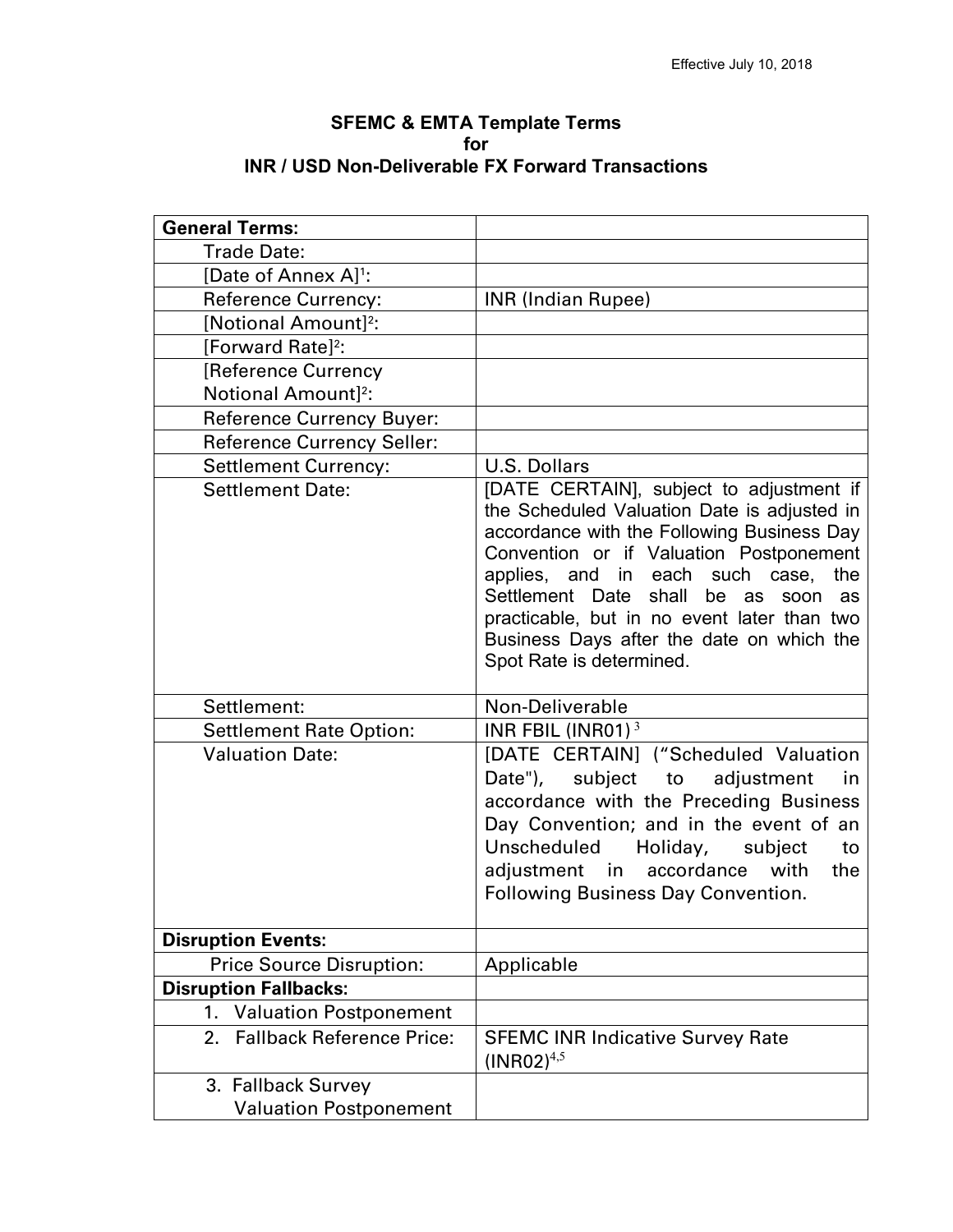| <b>SFEMC &amp; EMTA Template Terms</b>                   |
|----------------------------------------------------------|
| for                                                      |
| <b>INR / USD Non-Deliverable FX Forward Transactions</b> |

| <b>General Terms:</b>                                  |                                                                                                                                                                                                                                                                                                                                                                                                          |
|--------------------------------------------------------|----------------------------------------------------------------------------------------------------------------------------------------------------------------------------------------------------------------------------------------------------------------------------------------------------------------------------------------------------------------------------------------------------------|
| <b>Trade Date:</b>                                     |                                                                                                                                                                                                                                                                                                                                                                                                          |
| [Date of Annex A] <sup>1</sup> :                       |                                                                                                                                                                                                                                                                                                                                                                                                          |
| <b>Reference Currency:</b>                             | <b>INR (Indian Rupee)</b>                                                                                                                                                                                                                                                                                                                                                                                |
| [Notional Amount] <sup>2</sup> :                       |                                                                                                                                                                                                                                                                                                                                                                                                          |
| [Forward Rate] <sup>2</sup> :                          |                                                                                                                                                                                                                                                                                                                                                                                                          |
| [Reference Currency                                    |                                                                                                                                                                                                                                                                                                                                                                                                          |
| Notional Amount] <sup>2</sup> :                        |                                                                                                                                                                                                                                                                                                                                                                                                          |
| <b>Reference Currency Buyer:</b>                       |                                                                                                                                                                                                                                                                                                                                                                                                          |
| <b>Reference Currency Seller:</b>                      |                                                                                                                                                                                                                                                                                                                                                                                                          |
|                                                        | <b>U.S. Dollars</b>                                                                                                                                                                                                                                                                                                                                                                                      |
| <b>Settlement Currency:</b><br><b>Settlement Date:</b> | [DATE CERTAIN], subject to adjustment if<br>the Scheduled Valuation Date is adjusted in<br>accordance with the Following Business Day<br>Convention or if Valuation Postponement<br>applies, and in each such case,<br>the<br>Settlement Date<br>shall<br>be<br>as<br>soon<br>as<br>practicable, but in no event later than two<br>Business Days after the date on which the<br>Spot Rate is determined. |
| Settlement:                                            | Non-Deliverable                                                                                                                                                                                                                                                                                                                                                                                          |
| <b>Settlement Rate Option:</b>                         | INR FBIL (INR01) $3$                                                                                                                                                                                                                                                                                                                                                                                     |
| <b>Valuation Date:</b>                                 | [DATE CERTAIN] ("Scheduled Valuation<br>Date"), subject to<br>adjustment<br>in<br>accordance with the Preceding Business<br>Day Convention; and in the event of an<br>Holiday,<br>Unscheduled<br>subject<br>to<br>adjustment in accordance with<br>the<br><b>Following Business Day Convention.</b>                                                                                                      |
| <b>Disruption Events:</b>                              |                                                                                                                                                                                                                                                                                                                                                                                                          |
| <b>Price Source Disruption:</b>                        | Applicable                                                                                                                                                                                                                                                                                                                                                                                               |
| <b>Disruption Fallbacks:</b>                           |                                                                                                                                                                                                                                                                                                                                                                                                          |
| <b>Valuation Postponement</b><br>1.                    |                                                                                                                                                                                                                                                                                                                                                                                                          |
| 2. Fallback Reference Price:                           | <b>SFEMC INR Indicative Survey Rate</b><br>$(INRO2)^{4,5}$                                                                                                                                                                                                                                                                                                                                               |
| 3. Fallback Survey                                     |                                                                                                                                                                                                                                                                                                                                                                                                          |
| <b>Valuation Postponement</b>                          |                                                                                                                                                                                                                                                                                                                                                                                                          |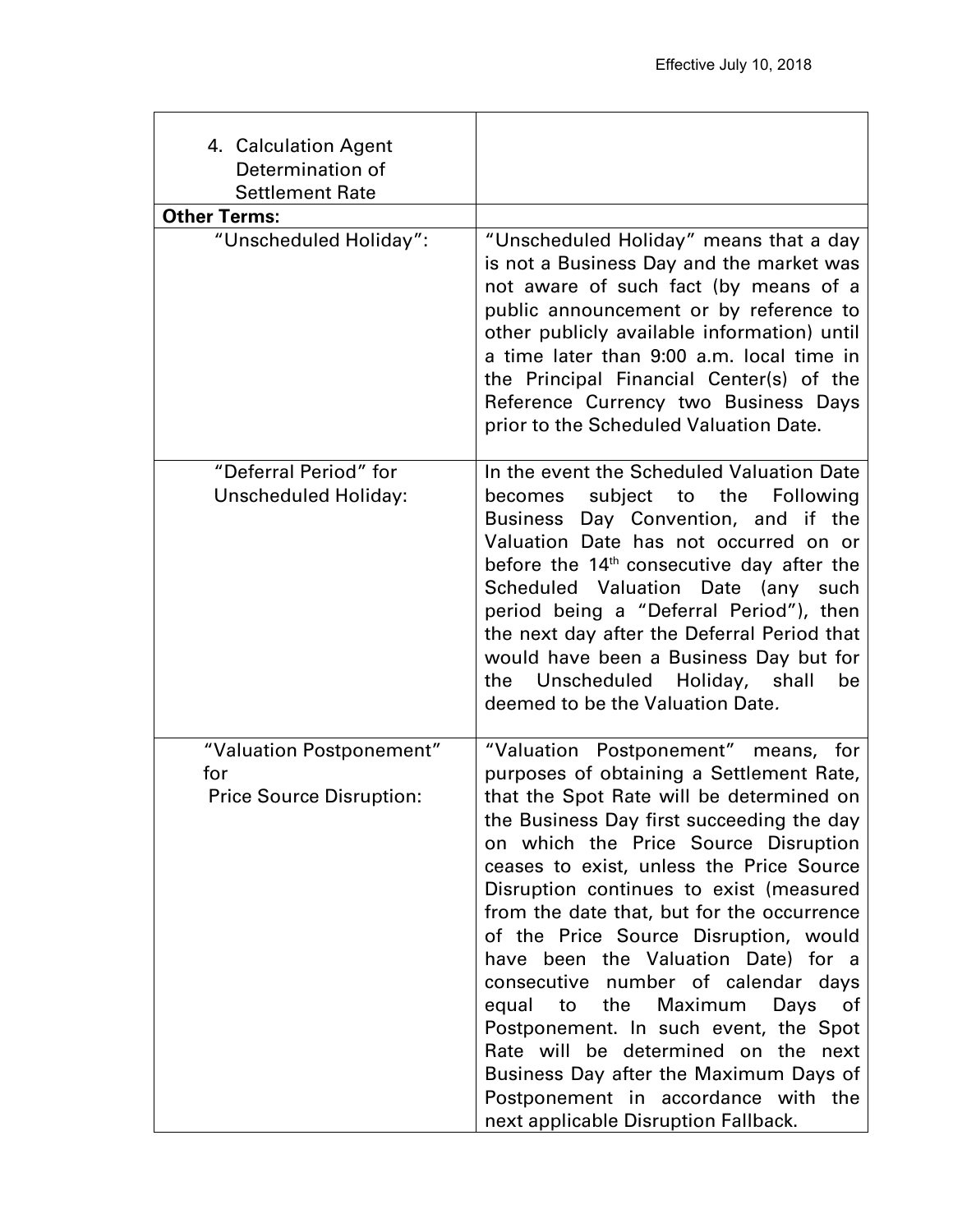| 4. Calculation Agent<br>Determination of<br><b>Settlement Rate</b> |                                                                                                                                                                                                                                                                                                                                                                                                                                                                                                                                                                                                                                                                                                                                         |
|--------------------------------------------------------------------|-----------------------------------------------------------------------------------------------------------------------------------------------------------------------------------------------------------------------------------------------------------------------------------------------------------------------------------------------------------------------------------------------------------------------------------------------------------------------------------------------------------------------------------------------------------------------------------------------------------------------------------------------------------------------------------------------------------------------------------------|
| <b>Other Terms:</b>                                                |                                                                                                                                                                                                                                                                                                                                                                                                                                                                                                                                                                                                                                                                                                                                         |
| "Unscheduled Holiday":                                             | "Unscheduled Holiday" means that a day<br>is not a Business Day and the market was<br>not aware of such fact (by means of a<br>public announcement or by reference to<br>other publicly available information) until<br>a time later than 9:00 a.m. local time in<br>the Principal Financial Center(s) of the<br>Reference Currency two Business Days<br>prior to the Scheduled Valuation Date.                                                                                                                                                                                                                                                                                                                                         |
| "Deferral Period" for<br><b>Unscheduled Holiday:</b>               | In the event the Scheduled Valuation Date<br>becomes subject to<br>the<br>Following<br>Business Day Convention, and if the<br>Valuation Date has not occurred on or<br>before the 14 <sup>th</sup> consecutive day after the<br>Scheduled Valuation Date (any such<br>period being a "Deferral Period"), then<br>the next day after the Deferral Period that<br>would have been a Business Day but for<br>Unscheduled Holiday, shall<br>be<br>the<br>deemed to be the Valuation Date.                                                                                                                                                                                                                                                   |
| "Valuation Postponement"<br>for<br><b>Price Source Disruption:</b> | "Valuation Postponement" means, for<br>purposes of obtaining a Settlement Rate,<br>that the Spot Rate will be determined on<br>the Business Day first succeeding the day<br>on which the Price Source Disruption<br>ceases to exist, unless the Price Source<br>Disruption continues to exist (measured<br>from the date that, but for the occurrence<br>of the Price Source Disruption, would<br>have been the Valuation Date) for a<br>consecutive number of calendar days<br>the<br>Maximum<br>equal<br>Days<br>to<br>0f<br>Postponement. In such event, the Spot<br>Rate will be determined on the<br>next<br>Business Day after the Maximum Days of<br>Postponement in accordance with the<br>next applicable Disruption Fallback. |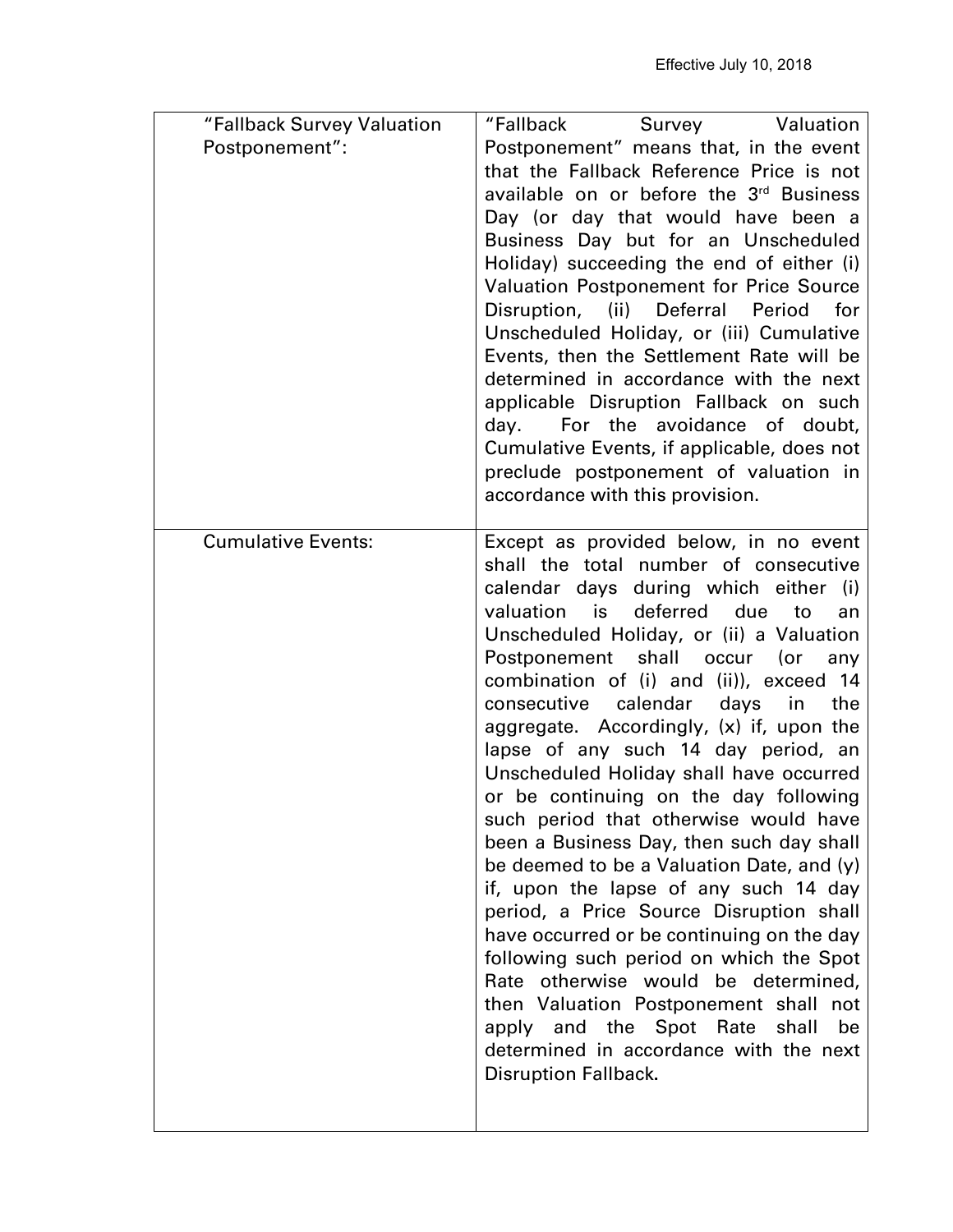| "Fallback Survey Valuation | "Fallback<br>Survey Valuation                                                                                                                                                                                                                                                                                                                                                                                                                                                                                                                                                                                                                                                                                                                                                                                                                                                                                                                                                                                                             |
|----------------------------|-------------------------------------------------------------------------------------------------------------------------------------------------------------------------------------------------------------------------------------------------------------------------------------------------------------------------------------------------------------------------------------------------------------------------------------------------------------------------------------------------------------------------------------------------------------------------------------------------------------------------------------------------------------------------------------------------------------------------------------------------------------------------------------------------------------------------------------------------------------------------------------------------------------------------------------------------------------------------------------------------------------------------------------------|
| Postponement":             | Postponement" means that, in the event<br>that the Fallback Reference Price is not<br>available on or before the 3rd Business<br>Day (or day that would have been a<br>Business Day but for an Unscheduled<br>Holiday) succeeding the end of either (i)<br><b>Valuation Postponement for Price Source</b><br>Disruption,<br>(ii)<br>Deferral Period<br>for<br>Unscheduled Holiday, or (iii) Cumulative<br>Events, then the Settlement Rate will be<br>determined in accordance with the next                                                                                                                                                                                                                                                                                                                                                                                                                                                                                                                                              |
|                            | applicable Disruption Fallback on such<br>day. For the avoidance of doubt,<br>Cumulative Events, if applicable, does not<br>preclude postponement of valuation in<br>accordance with this provision.                                                                                                                                                                                                                                                                                                                                                                                                                                                                                                                                                                                                                                                                                                                                                                                                                                      |
| <b>Cumulative Events:</b>  | Except as provided below, in no event<br>shall the total number of consecutive<br>calendar days during which either (i)<br>deferred due<br>valuation is<br>to<br>an<br>Unscheduled Holiday, or (ii) a Valuation<br>Postponement shall occur (or<br>any<br>combination of (i) and (ii)), exceed 14<br>calendar<br>consecutive<br>days in<br>the<br>aggregate. Accordingly, (x) if, upon the<br>lapse of any such 14 day period, an<br>Unscheduled Holiday shall have occurred<br>or be continuing on the day following<br>such period that otherwise would have<br>been a Business Day, then such day shall<br>be deemed to be a Valuation Date, and (y)<br>if, upon the lapse of any such 14 day<br>period, a Price Source Disruption shall<br>have occurred or be continuing on the day<br>following such period on which the Spot<br>otherwise would be determined,<br>Rate<br>then Valuation Postponement shall not<br>apply and the Spot Rate<br>shall<br>be<br>determined in accordance with the next<br><b>Disruption Fallback.</b> |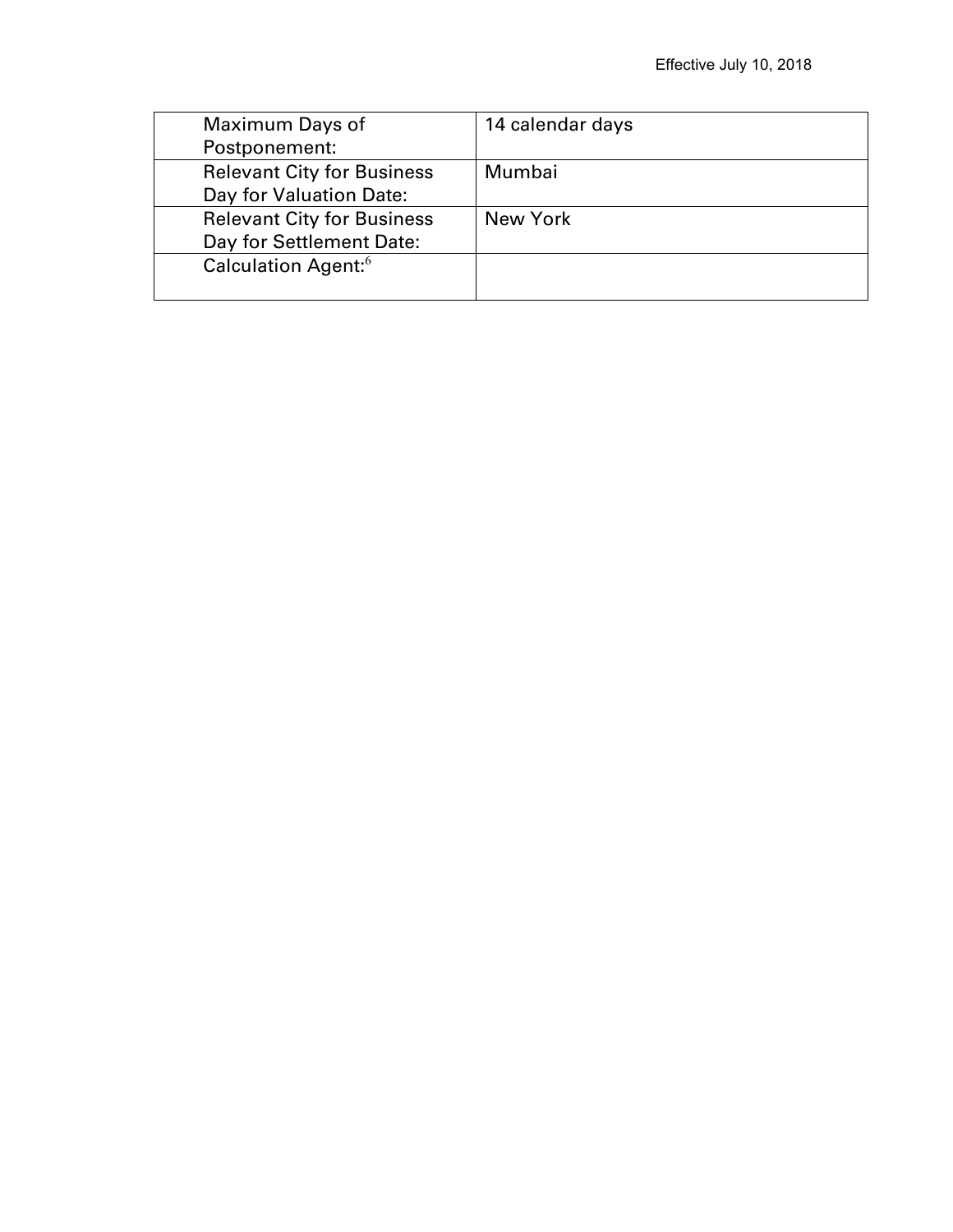| Maximum Days of                   | 14 calendar days |
|-----------------------------------|------------------|
| Postponement:                     |                  |
| <b>Relevant City for Business</b> | Mumbai           |
| Day for Valuation Date:           |                  |
| <b>Relevant City for Business</b> | New York         |
| Day for Settlement Date:          |                  |
| Calculation Agent: <sup>6</sup>   |                  |
|                                   |                  |